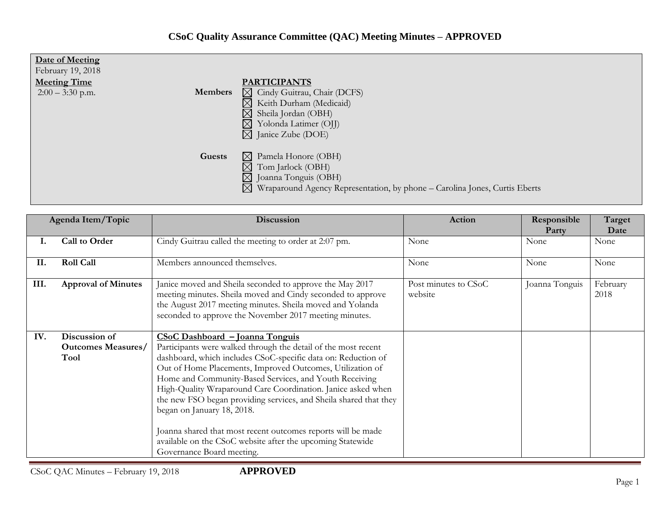## **CSoC Quality Assurance Committee (QAC) Meeting Minutes – APPROVED**

| Date of Meeting<br>February 19, 2018<br><b>Meeting Time</b><br>$2:00 - 3:30$ p.m.<br><b>Members</b> | <b>PARTICIPANTS</b><br>$\boxtimes$ Cindy Guitrau, Chair (DCFS)<br>Keith Durham (Medicaid)<br>$\bowtie$<br>$\boxtimes$<br>Sheila Jordan (OBH)                                                                                                                                   |
|-----------------------------------------------------------------------------------------------------|--------------------------------------------------------------------------------------------------------------------------------------------------------------------------------------------------------------------------------------------------------------------------------|
| Guests                                                                                              | $\boxtimes$<br>Yolonda Latimer (OJJ)<br>$\boxtimes$ Janice Zube (DOE)<br>Pamela Honore (OBH)<br>$\bowtie$<br>Tom Jarlock (OBH)<br>$\boxtimes$<br>$\boxtimes$ Joanna Tonguis (OBH)<br>$\boxtimes$<br>Wraparound Agency Representation, by phone - Carolina Jones, Curtis Eberts |

| Agenda Item/Topic |                                                    | Discussion                                                                                                                                                                                                                                                                                                                                                                                                                                                                                                                                                                                                              | <b>Action</b>                   | Responsible<br>Party | Target<br>Date   |
|-------------------|----------------------------------------------------|-------------------------------------------------------------------------------------------------------------------------------------------------------------------------------------------------------------------------------------------------------------------------------------------------------------------------------------------------------------------------------------------------------------------------------------------------------------------------------------------------------------------------------------------------------------------------------------------------------------------------|---------------------------------|----------------------|------------------|
| ı.                | <b>Call to Order</b>                               | Cindy Guitrau called the meeting to order at 2:07 pm.                                                                                                                                                                                                                                                                                                                                                                                                                                                                                                                                                                   | None                            | None                 | None             |
| II.               | <b>Roll Call</b>                                   | Members announced themselves.                                                                                                                                                                                                                                                                                                                                                                                                                                                                                                                                                                                           | None                            | None                 | None             |
| III.              | <b>Approval of Minutes</b>                         | Janice moved and Sheila seconded to approve the May 2017<br>meeting minutes. Sheila moved and Cindy seconded to approve<br>the August 2017 meeting minutes. Sheila moved and Yolanda<br>seconded to approve the November 2017 meeting minutes.                                                                                                                                                                                                                                                                                                                                                                          | Post minutes to CSoC<br>website | Joanna Tonguis       | February<br>2018 |
| IV.               | Discussion of<br><b>Outcomes Measures/</b><br>Tool | CSoC Dashboard - Joanna Tonguis<br>Participants were walked through the detail of the most recent<br>dashboard, which includes CSoC-specific data on: Reduction of<br>Out of Home Placements, Improved Outcomes, Utilization of<br>Home and Community-Based Services, and Youth Receiving<br>High-Quality Wraparound Care Coordination. Janice asked when<br>the new FSO began providing services, and Sheila shared that they<br>began on January 18, 2018.<br>Joanna shared that most recent outcomes reports will be made<br>available on the CSoC website after the upcoming Statewide<br>Governance Board meeting. |                                 |                      |                  |